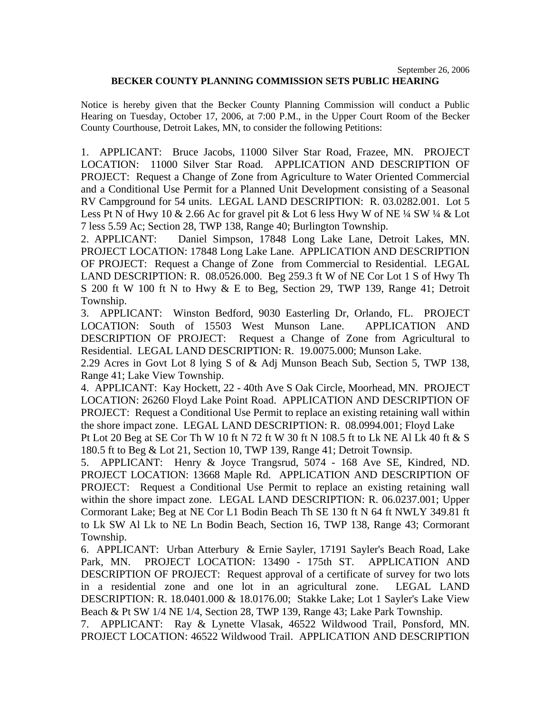## **BECKER COUNTY PLANNING COMMISSION SETS PUBLIC HEARING**

Notice is hereby given that the Becker County Planning Commission will conduct a Public Hearing on Tuesday, October 17, 2006, at 7:00 P.M., in the Upper Court Room of the Becker County Courthouse, Detroit Lakes, MN, to consider the following Petitions:

1. APPLICANT: Bruce Jacobs, 11000 Silver Star Road, Frazee, MN. PROJECT LOCATION: 11000 Silver Star Road. APPLICATION AND DESCRIPTION OF PROJECT: Request a Change of Zone from Agriculture to Water Oriented Commercial and a Conditional Use Permit for a Planned Unit Development consisting of a Seasonal RV Campground for 54 units. LEGAL LAND DESCRIPTION: R. 03.0282.001. Lot 5 Less Pt N of Hwy 10 & 2.66 Ac for gravel pit & Lot 6 less Hwy W of NE ¼ SW ¼ & Lot 7 less 5.59 Ac; Section 28, TWP 138, Range 40; Burlington Township.

2. APPLICANT: Daniel Simpson, 17848 Long Lake Lane, Detroit Lakes, MN. PROJECT LOCATION: 17848 Long Lake Lane. APPLICATION AND DESCRIPTION OF PROJECT: Request a Change of Zone from Commercial to Residential. LEGAL LAND DESCRIPTION: R. 08.0526.000. Beg 259.3 ft W of NE Cor Lot 1 S of Hwy Th S 200 ft W 100 ft N to Hwy & E to Beg, Section 29, TWP 139, Range 41; Detroit Township.

3. APPLICANT: Winston Bedford, 9030 Easterling Dr, Orlando, FL. PROJECT LOCATION: South of 15503 West Munson Lane. APPLICATION AND DESCRIPTION OF PROJECT: Request a Change of Zone from Agricultural to Residential. LEGAL LAND DESCRIPTION: R. 19.0075.000; Munson Lake.

2.29 Acres in Govt Lot 8 lying S of & Adj Munson Beach Sub, Section 5, TWP 138, Range 41; Lake View Township.

4. APPLICANT: Kay Hockett, 22 - 40th Ave S Oak Circle, Moorhead, MN. PROJECT LOCATION: 26260 Floyd Lake Point Road. APPLICATION AND DESCRIPTION OF PROJECT: Request a Conditional Use Permit to replace an existing retaining wall within the shore impact zone. LEGAL LAND DESCRIPTION: R. 08.0994.001; Floyd Lake Pt Lot 20 Beg at SE Cor Th W 10 ft N 72 ft W 30 ft N 108.5 ft to Lk NE Al Lk 40 ft & S

180.5 ft to Beg & Lot 21, Section 10, TWP 139, Range 41; Detroit Townsip.

5. APPLICANT: Henry & Joyce Trangsrud, 5074 - 168 Ave SE, Kindred, ND. PROJECT LOCATION: 13668 Maple Rd. APPLICATION AND DESCRIPTION OF PROJECT: Request a Conditional Use Permit to replace an existing retaining wall within the shore impact zone. LEGAL LAND DESCRIPTION: R. 06.0237.001; Upper Cormorant Lake; Beg at NE Cor L1 Bodin Beach Th SE 130 ft N 64 ft NWLY 349.81 ft to Lk SW Al Lk to NE Ln Bodin Beach, Section 16, TWP 138, Range 43; Cormorant Township.

6. APPLICANT: Urban Atterbury & Ernie Sayler, 17191 Sayler's Beach Road, Lake Park, MN. PROJECT LOCATION: 13490 - 175th ST. APPLICATION AND DESCRIPTION OF PROJECT: Request approval of a certificate of survey for two lots in a residential zone and one lot in an agricultural zone. LEGAL LAND DESCRIPTION: R. 18.0401.000 & 18.0176.00; Stakke Lake; Lot 1 Sayler's Lake View Beach & Pt SW 1/4 NE 1/4, Section 28, TWP 139, Range 43; Lake Park Township.

7. APPLICANT: Ray & Lynette Vlasak, 46522 Wildwood Trail, Ponsford, MN. PROJECT LOCATION: 46522 Wildwood Trail. APPLICATION AND DESCRIPTION